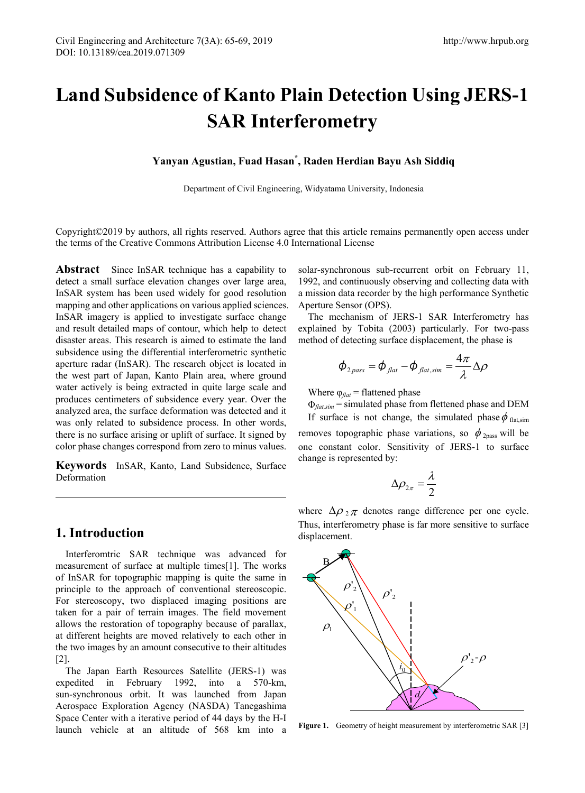# **Land Subsidence of Kanto Plain Detection Using JERS-1 SAR Interferometry**

**Yanyan Agustian, Fuad Hasan\* , Raden Herdian Bayu Ash Siddiq** 

Department of Civil Engineering, Widyatama University, Indonesia

Copyright©2019 by authors, all rights reserved. Authors agree that this article remains permanently open access under the terms of the Creative Commons Attribution License 4.0 International License

**Abstract** Since InSAR technique has a capability to detect a small surface elevation changes over large area, InSAR system has been used widely for good resolution mapping and other applications on various applied sciences. InSAR imagery is applied to investigate surface change and result detailed maps of contour, which help to detect disaster areas. This research is aimed to estimate the land subsidence using the differential interferometric synthetic aperture radar (InSAR). The research object is located in the west part of Japan, Kanto Plain area, where ground water actively is being extracted in quite large scale and produces centimeters of subsidence every year. Over the analyzed area, the surface deformation was detected and it was only related to subsidence process. In other words, there is no surface arising or uplift of surface. It signed by color phase changes correspond from zero to minus values.

**Keywords** InSAR, Kanto, Land Subsidence, Surface Deformation

# **1. Introduction**

Interferomtric SAR technique was advanced for measurement of surface at multiple times[1]. The works of InSAR for topographic mapping is quite the same in principle to the approach of conventional stereoscopic. For stereoscopy, two displaced imaging positions are taken for a pair of terrain images. The field movement allows the restoration of topography because of parallax, at different heights are moved relatively to each other in the two images by an amount consecutive to their altitudes [2].

The Japan Earth Resources Satellite (JERS-1) was expedited in February 1992, into a 570-km, sun-synchronous orbit. It was launched from Japan Aerospace Exploration Agency (NASDA) Tanegashima Space Center with a iterative period of 44 days by the H-I launch vehicle at an altitude of 568 km into a solar-synchronous sub-recurrent orbit on February 11, 1992, and continuously observing and collecting data with a mission data recorder by the high performance Synthetic Aperture Sensor (OPS).

The mechanism of JERS-1 SAR Interferometry has explained by Tobita (2003) particularly. For two-pass method of detecting surface displacement, the phase is

$$
\phi_{2_{pass}} = \phi_{\text{flat}} - \phi_{\text{flat,sim}} = \frac{4\pi}{\lambda} \Delta \rho
$$

Where  $\varphi_{\text{flat}}$  = flattened phase

Φ*flat,sim* = simulated phase from flettened phase and DEM

If surface is not change, the simulated phase  $\phi$  flat,sim removes topographic phase variations, so  $\phi_{2\text{pass}}$  will be one constant color. Sensitivity of JERS-1 to surface change is represented by:

$$
\Delta \rho_{2\pi} = \frac{\lambda}{2}
$$

where  $\Delta \rho_2 \pi$  denotes range difference per one cycle. Thus, interferometry phase is far more sensitive to surface displacement.



Figure 1. Geometry of height measurement by interferometric SAR [3]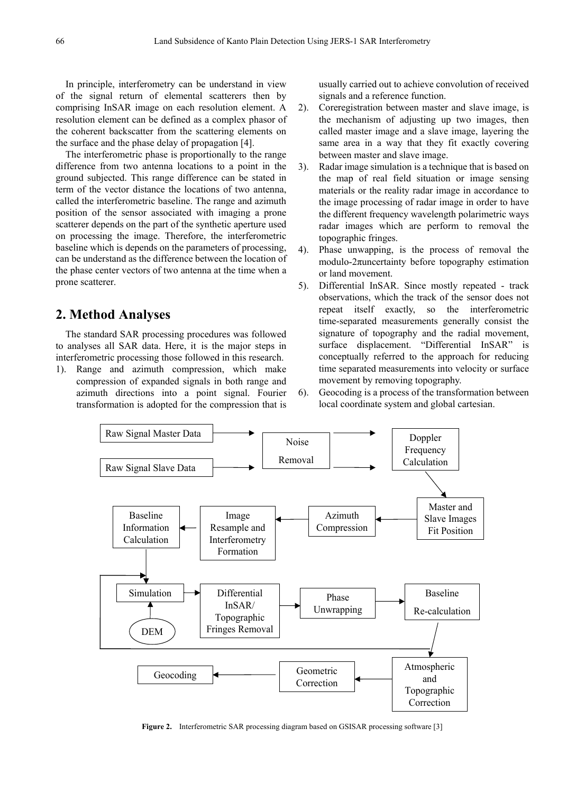In principle, interferometry can be understand in view of the signal return of elemental scatterers then by comprising InSAR image on each resolution element. A resolution element can be defined as a complex phasor of the coherent backscatter from the scattering elements on the surface and the phase delay of propagation [4].

The interferometric phase is proportionally to the range difference from two antenna locations to a point in the ground subjected. This range difference can be stated in term of the vector distance the locations of two antenna, called the interferometric baseline. The range and azimuth position of the sensor associated with imaging a prone scatterer depends on the part of the synthetic aperture used on processing the image. Therefore, the interferometric baseline which is depends on the parameters of processing, can be understand as the difference between the location of the phase center vectors of two antenna at the time when a prone scatterer.

### **2. Method Analyses**

The standard SAR processing procedures was followed to analyses all SAR data. Here, it is the major steps in interferometric processing those followed in this research.

1). Range and azimuth compression, which make compression of expanded signals in both range and azimuth directions into a point signal. Fourier transformation is adopted for the compression that is usually carried out to achieve convolution of received signals and a reference function.

- 2). Coreregistration between master and slave image, is the mechanism of adjusting up two images, then called master image and a slave image, layering the same area in a way that they fit exactly covering between master and slave image.
- 3). Radar image simulation is a technique that is based on the map of real field situation or image sensing materials or the reality radar image in accordance to the image processing of radar image in order to have the different frequency wavelength polarimetric ways radar images which are perform to removal the topographic fringes.
- 4). Phase unwapping, is the process of removal the modulo- $2\pi$ uncertainty before topography estimation or land movement.
- 5). Differential InSAR. Since mostly repeated track observations, which the track of the sensor does not repeat itself exactly, so the interferometric time-separated measurements generally consist the signature of topography and the radial movement, surface displacement. "Differential InSAR" is conceptually referred to the approach for reducing time separated measurements into velocity or surface movement by removing topography.
- 6). Geocoding is a process of the transformation between local coordinate system and global cartesian.



Figure 2. Interferometric SAR processing diagram based on GSISAR processing software [3]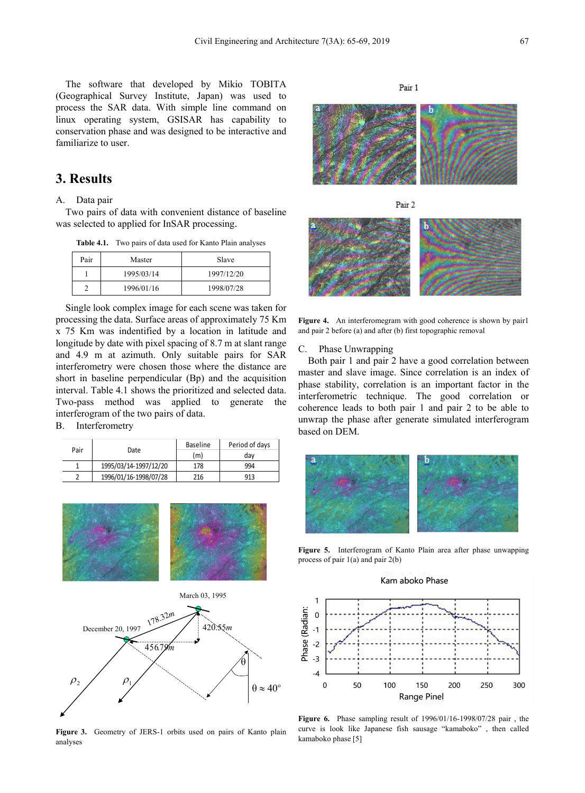The software that developed by Mikio TOBITA (Geographical Survey Institute, Japan) was used to process the SAR data. With simple line command on linux operating system, GSISAR has capability to conservation phase and was designed to be interactive and familiarize to user.

# **3. Results**

#### A. Data pair

Two pairs of data with convenient distance of baseline was selected to applied for InSAR processing.

| <b>Table 4.1.</b> | Two pairs of data used for Kanto Plain analyses |  |  |  |  |
|-------------------|-------------------------------------------------|--|--|--|--|
|-------------------|-------------------------------------------------|--|--|--|--|

| Pair | Master     | Slave      |  |
|------|------------|------------|--|
|      | 1995/03/14 | 1997/12/20 |  |
|      | 1996/01/16 | 1998/07/28 |  |

Single look complex image for each scene was taken for processing the data. Surface areas of approximately 75 Km x 75 Km was indentified by a location in latitude and longitude by date with pixel spacing of 8.7 m at slant range and 4.9 m at azimuth. Only suitable pairs for SAR interferometry were chosen those where the distance are short in baseline perpendicular (Bp) and the acquisition interval. Table 4.1 shows the prioritized and selected data. Two-pass method was applied to generate the interferogram of the two pairs of data.

#### B. Interferometry

|      |                       | Baseline | Period of days |
|------|-----------------------|----------|----------------|
| Pair | Date                  | (m)      | dav            |
|      | 1995/03/14-1997/12/20 | 178      | 994            |
|      | 1996/01/16-1998/07/28 | 216      | 913            |



**Figure 3.** Geometry of JERS-1 orbits used on pairs of Kanto plain analyses

Pair 1



Pair 2

**Figure 4.** An interferomegram with good coherence is shown by pair1 and pair 2 before (a) and after (b) first topographic removal

#### C. Phase Unwrapping

Both pair 1 and pair 2 have a good correlation between master and slave image. Since correlation is an index of phase stability, correlation is an important factor in the interferometric technique. The good correlation or coherence leads to both pair 1 and pair 2 to be able to unwrap the phase after generate simulated interferogram based on DEM.



**Figure 5.** Interferogram of Kanto Plain area after phase unwapping process of pair 1(a) and pair 2(b)





**Figure 6.** Phase sampling result of 1996/01/16-1998/07/28 pair , the curve is look like Japanese fish sausage "kamaboko" , then called kamaboko phase [5]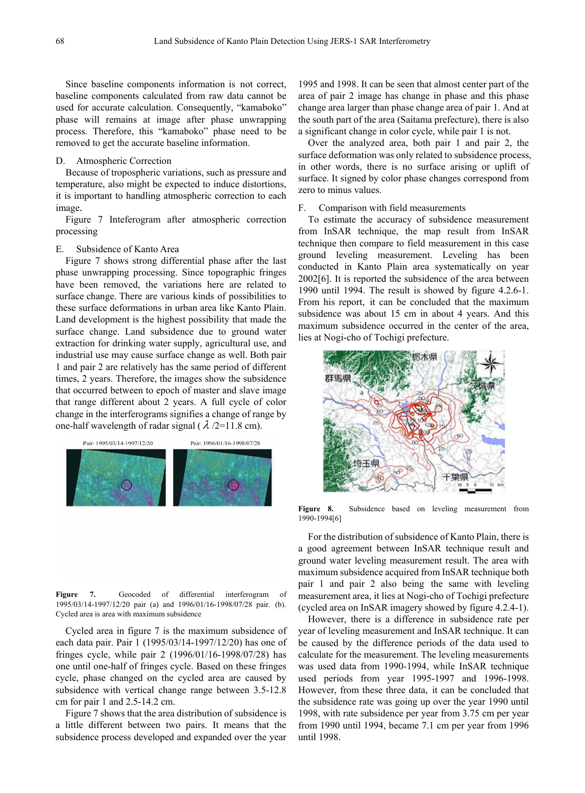Since baseline components information is not correct, baseline components calculated from raw data cannot be used for accurate calculation. Consequently, "kamaboko" phase will remains at image after phase unwrapping process. Therefore, this "kamaboko" phase need to be removed to get the accurate baseline information.

#### D. Atmospheric Correction

Because of tropospheric variations, such as pressure and temperature, also might be expected to induce distortions, it is important to handling atmospheric correction to each image.

Figure 7 Inteferogram after atmospheric correction processing

#### E. Subsidence of Kanto Area

Figure 7 shows strong differential phase after the last phase unwrapping processing. Since topographic fringes have been removed, the variations here are related to surface change. There are various kinds of possibilities to these surface deformations in urban area like Kanto Plain. Land development is the highest possibility that made the surface change. Land subsidence due to ground water extraction for drinking water supply, agricultural use, and industrial use may cause surface change as well. Both pair 1 and pair 2 are relatively has the same period of different times, 2 years. Therefore, the images show the subsidence that occurred between to epoch of master and slave image that range different about 2 years. A full cycle of color change in the interferograms signifies a change of range by one-half wavelength of radar signal ( $\lambda$  /2=11.8 cm).

**Figure 7.** Geocoded of differential interferogram of 1995/03/14-1997/12/20 pair (a) and 1996/01/16-1998/07/28 pair. (b). Cycled area is area with maximum subsidence

Cycled area in figure 7 is the maximum subsidence of each data pair. Pair 1 (1995/03/14-1997/12/20) has one of fringes cycle, while pair 2 (1996/01/16-1998/07/28) has one until one-half of fringes cycle. Based on these fringes cycle, phase changed on the cycled area are caused by subsidence with vertical change range between 3.5-12.8 cm for pair 1 and 2.5-14.2 cm.

Figure 7 shows that the area distribution of subsidence is a little different between two pairs. It means that the subsidence process developed and expanded over the year

1995 and 1998. It can be seen that almost center part of the area of pair 2 image has change in phase and this phase change area larger than phase change area of pair 1. And at the south part of the area (Saitama prefecture), there is also a significant change in color cycle, while pair 1 is not.

Over the analyzed area, both pair 1 and pair 2, the surface deformation was only related to subsidence process, in other words, there is no surface arising or uplift of surface. It signed by color phase changes correspond from zero to minus values.

#### F. Comparison with field measurements

To estimate the accuracy of subsidence measurement from InSAR technique, the map result from InSAR technique then compare to field measurement in this case ground leveling measurement. Leveling has been conducted in Kanto Plain area systematically on year 2002[6]. It is reported the subsidence of the area between 1990 until 1994. The result is showed by figure 4.2.6-1. From his report, it can be concluded that the maximum subsidence was about 15 cm in about 4 years. And this maximum subsidence occurred in the center of the area, lies at Nogi-cho of Tochigi prefecture.



**Figure 8.** Subsidence based on leveling measurement from 1990-1994[6]

For the distribution of subsidence of Kanto Plain, there is a good agreement between InSAR technique result and ground water leveling measurement result. The area with maximum subsidence acquired from InSAR technique both pair 1 and pair 2 also being the same with leveling measurement area, it lies at Nogi-cho of Tochigi prefecture (cycled area on InSAR imagery showed by figure 4.2.4-1).

However, there is a difference in subsidence rate per year of leveling measurement and InSAR technique. It can be caused by the difference periods of the data used to calculate for the measurement. The leveling measurements was used data from 1990-1994, while InSAR technique used periods from year 1995-1997 and 1996-1998. However, from these three data, it can be concluded that the subsidence rate was going up over the year 1990 until 1998, with rate subsidence per year from 3.75 cm per year from 1990 until 1994, became 7.1 cm per year from 1996 until 1998.